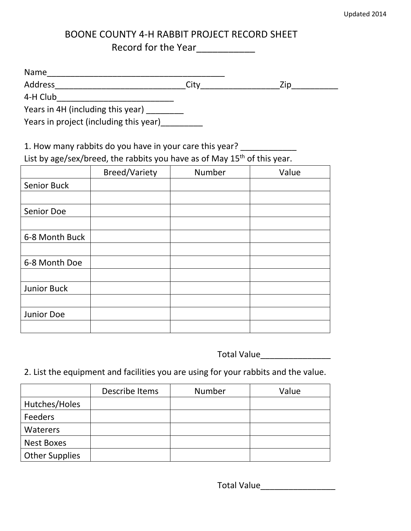## BOONE COUNTY 4-H RABBIT PROJECT RECORD SHEET Record for the Year\_\_\_\_\_\_\_\_\_\_\_

| Name    |    |                              |
|---------|----|------------------------------|
| Address | いい | $\overline{\mathbf{u}}$<br>~ |

4-H Club\_\_\_\_\_\_\_\_\_\_\_\_\_\_\_\_\_\_\_\_\_\_\_\_\_

Years in  $\overline{4H}$  (including this year) \_\_\_\_\_\_\_\_\_

Years in project (including this year)

1. How many rabbits do you have in your care this year? \_\_\_\_\_\_\_\_\_\_\_\_\_\_\_\_\_\_\_\_\_\_\_\_

List by age/sex/breed, the rabbits you have as of May 15<sup>th</sup> of this year.

|                    | <b>Breed/Variety</b> | Number | Value |
|--------------------|----------------------|--------|-------|
| Senior Buck        |                      |        |       |
|                    |                      |        |       |
| Senior Doe         |                      |        |       |
|                    |                      |        |       |
| 6-8 Month Buck     |                      |        |       |
|                    |                      |        |       |
| 6-8 Month Doe      |                      |        |       |
|                    |                      |        |       |
| <b>Junior Buck</b> |                      |        |       |
|                    |                      |        |       |
| Junior Doe         |                      |        |       |
|                    |                      |        |       |

Total Value\_\_\_\_\_\_\_\_\_\_\_\_\_\_\_

## 2. List the equipment and facilities you are using for your rabbits and the value.

|                       | Describe Items | Number | Value |
|-----------------------|----------------|--------|-------|
| Hutches/Holes         |                |        |       |
| Feeders               |                |        |       |
| Waterers              |                |        |       |
| <b>Nest Boxes</b>     |                |        |       |
| <b>Other Supplies</b> |                |        |       |

Total Value